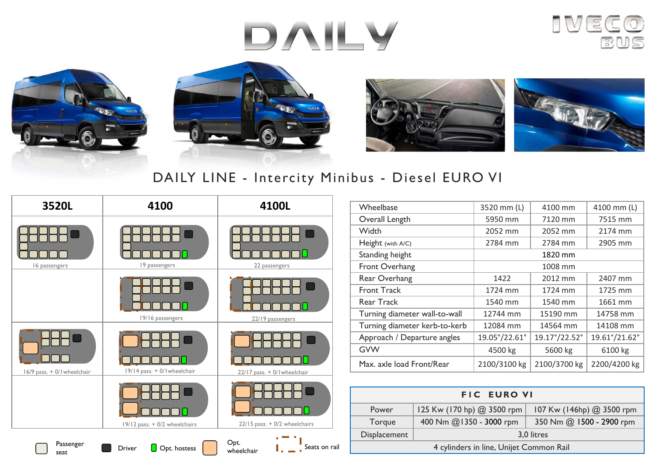# DAILY











### DAILY LINE - Intercity Minibus - Diesel EURO VI



| Wheelbase                     | 3520 mm (L)   | 4100 mm       | 4100 mm (L)   |
|-------------------------------|---------------|---------------|---------------|
| Overall Length                | 5950 mm       | 7120 mm       | 7515 mm       |
| Width                         | 2052 mm       | 2052 mm       | 2174 mm       |
| Height (with A/C)             | 2784 mm       | 2784 mm       | 2905 mm       |
| Standing height               | 1820 mm       |               |               |
| Front Overhang                | 1008 mm       |               |               |
| Rear Overhang                 | 1422          | 2012 mm       | 2407 mm       |
| <b>Front Track</b>            | 1724 mm       | 1724 mm       | 1725 mm       |
| Rear Track                    | 1540 mm       | 1540 mm       | 1661 mm       |
| Turning diameter wall-to-wall | 12744 mm      | 15190 mm      | 14758 mm      |
| Turning diameter kerb-to-kerb | 12084 mm      | 14564 mm      | 14108 mm      |
| Approach / Departure angles   | 19.05°/22.61° | 19.17°/22.52° | 19.61°/21.62° |
| <b>GVW</b>                    | 4500 kg       | 5600 kg       | 6100 kg       |
| Max. axle load Front/Rear     | 2100/3100 kg  | 2100/3700 kg  | 2200/4200 kg  |
|                               |               |               |               |

| <b>FIC EURO VI</b>                      |                            |                           |  |
|-----------------------------------------|----------------------------|---------------------------|--|
| Power                                   | 125 Kw (170 hp) @ 3500 rpm | 107 Kw (146hp) @ 3500 rpm |  |
| Torque                                  | 400 Nm @1350 - 3000 rpm    | 350 Nm @ 1500 - 2900 rpm  |  |
| Displacement                            | 3,0 litres                 |                           |  |
| 4 cylinders in line, Unijet Common Rail |                            |                           |  |